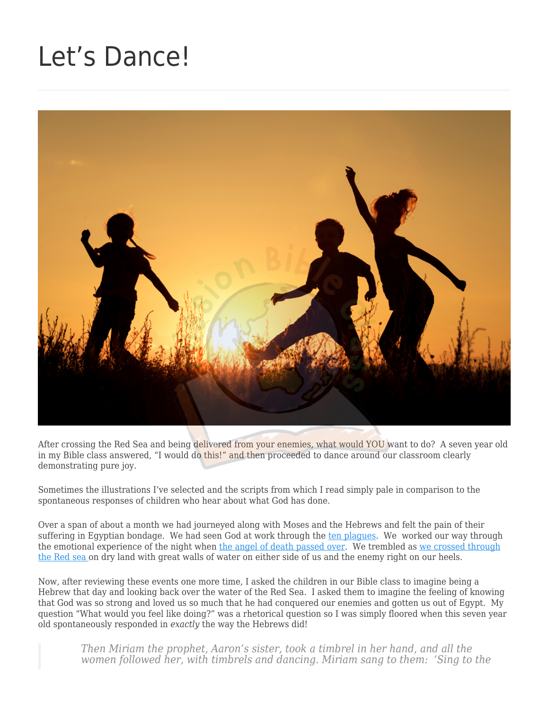## [Let's Dance!](https://missionbibleclass.org/2018/08/13/lets-dance/)



After crossing the Red Sea and being delivered from your enemies, what would YOU want to do? A seven year old in my Bible class answered, "I would do this!" and then proceeded to dance around our classroom clearly demonstrating pure joy.

Sometimes the illustrations I've selected and the scripts from which I read simply pale in comparison to the spontaneous responses of children who hear about what God has done.

Over a span of about a month we had journeyed along with Moses and the Hebrews and felt the pain of their suffering in Egyptian bondage. We had seen God at work through the [ten plagues](http://missionbibleclass.org/old-testament/part1/exodus-through-12-spies/let-my-people-go/). We worked our way through the emotional experience of the night when [the angel of death passed over.](http://missionbibleclass.org/old-testament/part1/exodus-through-12-spies/death-of-the-firstborn/) We trembled as [we crossed through](http://missionbibleclass.org/old-testament/part1/exodus-through-12-spies/crossing-the-red-sea/) [the Red sea o](http://missionbibleclass.org/old-testament/part1/exodus-through-12-spies/crossing-the-red-sea/)n dry land with great walls of water on either side of us and the enemy right on our heels.

Now, after reviewing these events one more time, I asked the children in our Bible class to imagine being a Hebrew that day and looking back over the water of the Red Sea. I asked them to imagine the feeling of knowing that God was so strong and loved us so much that he had conquered our enemies and gotten us out of Egypt. My question "What would you feel like doing?" was a rhetorical question so I was simply floored when this seven year old spontaneously responded in *exactly* the way the Hebrews did!

*Then Miriam the prophet, Aaron's sister, took a timbrel in her hand, and all the women followed her, with timbrels and dancing. Miriam sang to them: 'Sing to the*